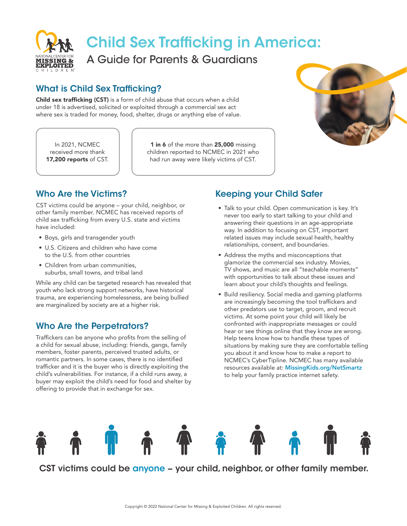

# Child Sex Trafficking in America:

A Guide for Parents & Guardians

### What is Child Sex Trafficking?

Child sex trafficking (CST) is a form of child abuse that occurs when a child under 18 is advertised, solicited or exploited through a commercial sex act where sex is traded for money, food, shelter, drugs or anything else of value.

In 2021, NCMEC received more thank 17,200 reports of CST.

1 in 6 of the more than 25,000 missing children reported to NCMEC in 2021 who had run away were likely victims of CST.



# Who Are the Victims?

CST victims could be anyone – your child, neighbor, or other family member. NCMEC has received reports of child sex trafficking from every U.S. state and victims have included:

- Boys, girls and transgender youth
- U.S. Citizens and children who have come to the U.S. from other countries
- Children from urban communities. suburbs, small towns, and tribal land

While any child can be targeted research has revealed that youth who lack strong support networks, have historical trauma, are experiencing homelessness, are being bullied are marginalized by society are at a higher risk.

## Who Are the Perpetrators?

Traffickers can be anyone who profits from the selling of a child for sexual abuse, including: friends, gangs, family members, foster parents, perceived trusted adults, or romantic partners. In some cases, there is no identified trafficker and it is the buyer who is directly exploiting the child's vulnerabilities. For instance, if a child runs away, a buyer may exploit the child's need for food and shelter by offering to provide that in exchange for sex.

# Keeping your Child Safer

- Talk to your child. Open communication is key. It's never too early to start talking to your child and answering their questions in an age-appropriate way. In addition to focusing on CST, important related issues may include sexual health, healthy relationships, consent, and boundaries.
- Address the myths and misconceptions that glamorize the commercial sex industry. Movies, TV shows, and music are all "teachable moments" with opportunities to talk about these issues and learn about your child's thoughts and feelings.
- Build resiliency. Social media and gaming platforms are increasingly becoming the tool traffickers and other predators use to target, groom, and recruit victims. At some point your child will likely be confronted with inappropriate messages or could hear or see things online that they know are wrong. Help teens know how to handle these types of situations by making sure they are comfortable telling you about it and know how to make a report to NCMEC's CyberTipline. NCMEC has many available resources available at: MissingKids.org/NetSmartz to help your family practice internet safety.



CST victims could be anyone – your child, neighbor, or other family member.